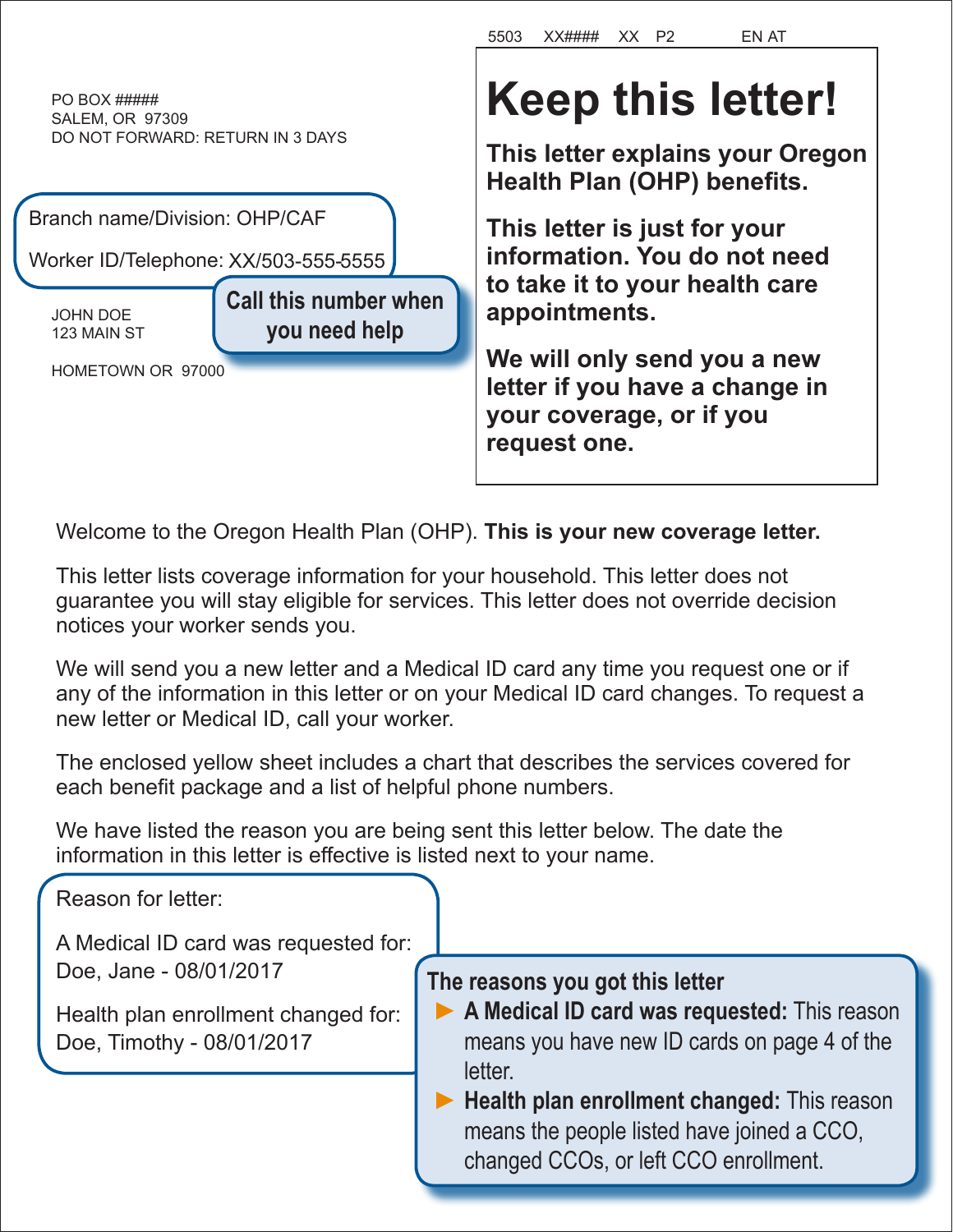PO BOX ##### SALEM, OR 97309 DO NOT FORWARD: RETURN IN 3 DAYS

| Branch name/Division: OHP/CAF        |                              |  |  |
|--------------------------------------|------------------------------|--|--|
| Worker ID/Telephone: XX/503-555-5555 |                              |  |  |
| <b>JOHN DOE</b>                      | <b>Call this number when</b> |  |  |
| 123 MAIN ST                          | you need help                |  |  |
| HOMETOWN OR 97000                    |                              |  |  |

# **Keep this letter!**

5503 XX#### XX P2 EN AT

**This letter explains your Oregon Health Plan (OHP) benefits.**

**This letter is just for your information. You do not need to take it to your health care appointments.**

**We will only send you a new letter if you have a change in your coverage, or if you request one.** 

Welcome to the Oregon Health Plan (OHP). **This is your new coverage letter.**

This letter lists coverage information for your household. This letter does not guarantee you will stay eligible for services. This letter does not override decision notices your worker sends you.

We will send you a new letter and a Medical ID card any time you request one or if any of the information in this letter or on your Medical ID card changes. To request a new letter or Medical ID, call your worker.

The enclosed yellow sheet includes a chart that describes the services covered for each benefit package and a list of helpful phone numbers.

We have listed the reason you are being sent this letter below. The date the information in this letter is effective is listed next to your name.

Reason for letter:

A Medical ID card was requested for: Doe, Jane - 08/01/2017

Health plan enrollment changed for: Doe, Timothy - 08/01/2017

**The reasons you got this letter**

- **►A Medical ID card was requested:** This reason means you have new ID cards on page 4 of the letter.
- ▶ **Health plan enrollment changed:** This reason means the people listed have joined a CCO, changed CCOs, or left CCO enrollment.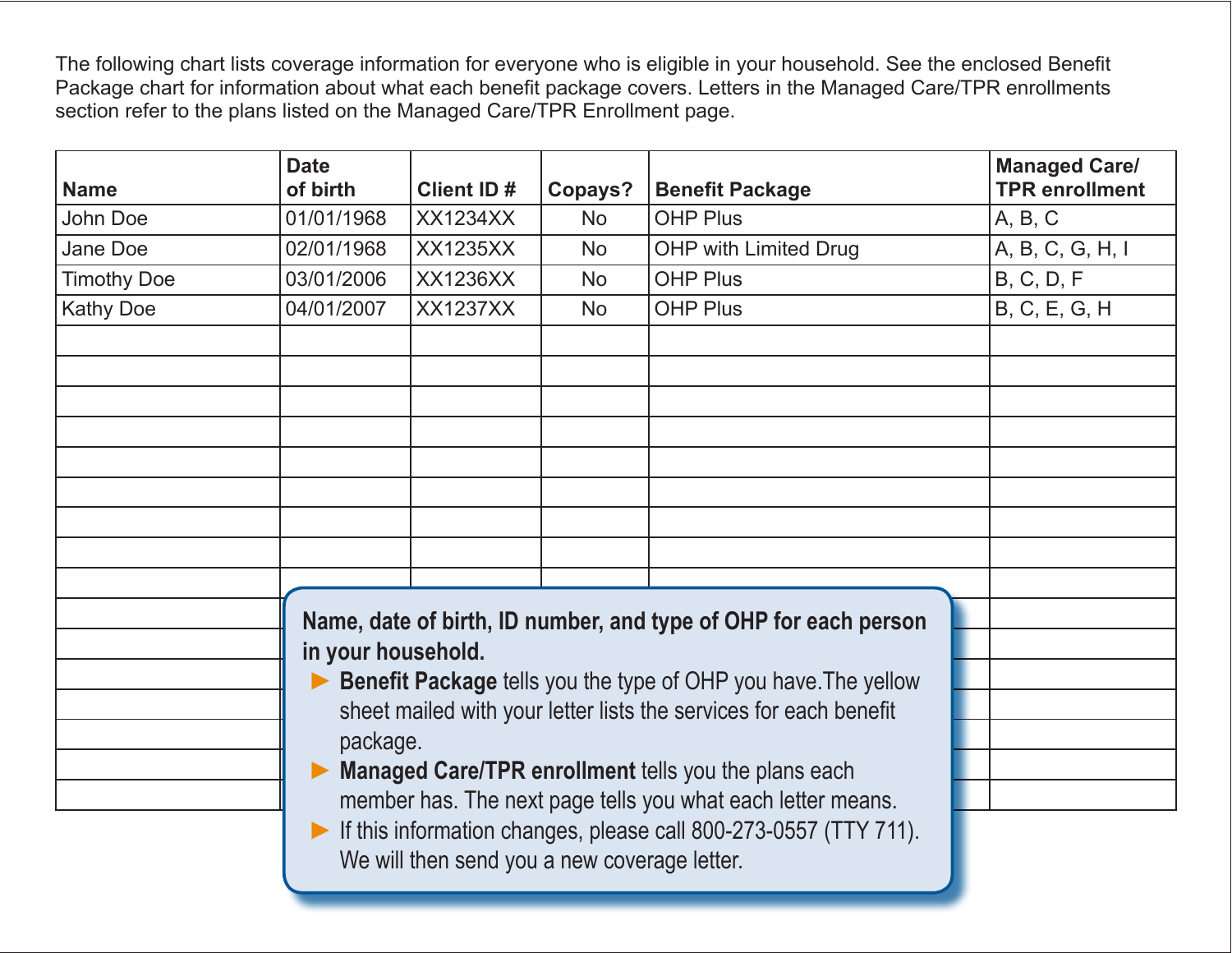The following chart lists coverage information for everyone who is eligible in your household. See the enclosed Benefit Package chart for information about what each benefit package covers. Letters in the Managed Care/TPR enrollments section refer to the plans listed on the Managed Care/TPR Enrollment page.

| <b>Name</b>        | <b>Date</b><br>of birth                                                       | <b>Client ID#</b>                                                     | Copays?   | <b>Benefit Package</b>                                           | <b>Managed Care/</b><br><b>TPR</b> enrollment |
|--------------------|-------------------------------------------------------------------------------|-----------------------------------------------------------------------|-----------|------------------------------------------------------------------|-----------------------------------------------|
| John Doe           | 01/01/1968                                                                    | <b>XX1234XX</b>                                                       | <b>No</b> | <b>OHP Plus</b>                                                  | A, B, C                                       |
| Jane Doe           | 02/01/1968                                                                    | <b>XX1235XX</b>                                                       | <b>No</b> | <b>OHP with Limited Drug</b>                                     | A, B, C, G, H, I                              |
| <b>Timothy Doe</b> | 03/01/2006                                                                    | <b>XX1236XX</b>                                                       | <b>No</b> | <b>OHP Plus</b>                                                  | B, C, D, F                                    |
| <b>Kathy Doe</b>   | 04/01/2007                                                                    | <b>XX1237XX</b>                                                       | <b>No</b> | <b>OHP Plus</b>                                                  | B, C, E, G, H                                 |
|                    |                                                                               |                                                                       |           |                                                                  |                                               |
|                    |                                                                               |                                                                       |           |                                                                  |                                               |
|                    |                                                                               |                                                                       |           |                                                                  |                                               |
|                    |                                                                               |                                                                       |           |                                                                  |                                               |
|                    |                                                                               |                                                                       |           |                                                                  |                                               |
|                    |                                                                               |                                                                       |           |                                                                  |                                               |
|                    |                                                                               |                                                                       |           |                                                                  |                                               |
|                    |                                                                               |                                                                       |           |                                                                  |                                               |
|                    |                                                                               |                                                                       |           |                                                                  |                                               |
|                    |                                                                               |                                                                       |           | Name, date of birth, ID number, and type of OHP for each person  |                                               |
|                    |                                                                               | in your household.                                                    |           |                                                                  |                                               |
|                    | $\blacktriangleright$                                                         | <b>Benefit Package tells you the type of OHP you have. The yellow</b> |           |                                                                  |                                               |
|                    | sheet mailed with your letter lists the services for each benefit<br>package. |                                                                       |           |                                                                  |                                               |
|                    |                                                                               |                                                                       |           |                                                                  |                                               |
|                    |                                                                               |                                                                       |           | <b>Managed Care/TPR enrollment tells you the plans each</b>      |                                               |
|                    |                                                                               |                                                                       |           | member has. The next page tells you what each letter means.      |                                               |
|                    | $\blacktriangleright$                                                         |                                                                       |           | If this information changes, please call 800-273-0557 (TTY 711). |                                               |
|                    |                                                                               | We will then send you a new coverage letter.                          |           |                                                                  |                                               |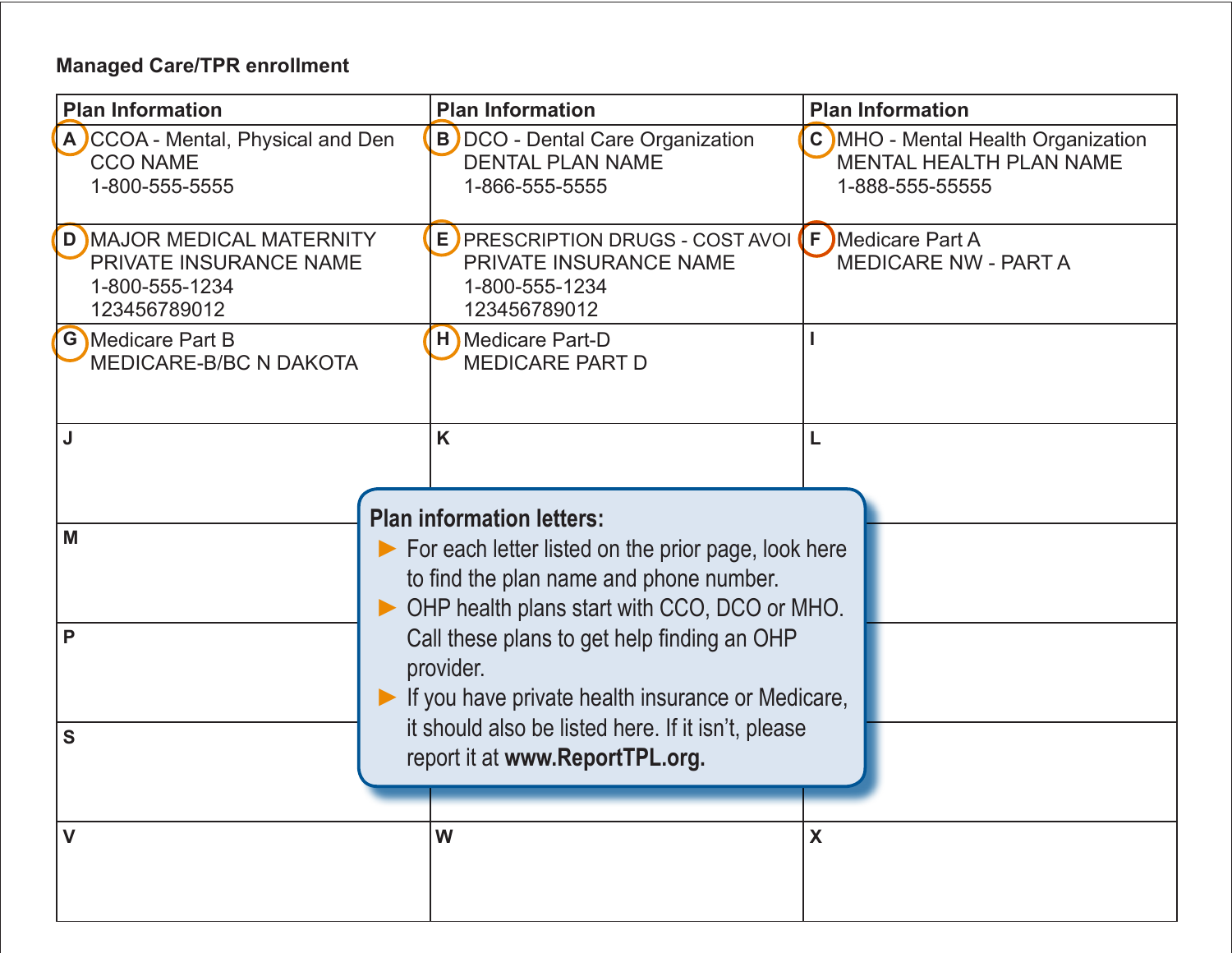#### **Managed Care/TPR enrollment**

| <b>Plan Information</b>                                                               | <b>Plan Information</b>                                                                                                                        | <b>Plan Information</b>                                                          |
|---------------------------------------------------------------------------------------|------------------------------------------------------------------------------------------------------------------------------------------------|----------------------------------------------------------------------------------|
| A CCOA - Mental, Physical and Den<br><b>CCO NAME</b><br>1-800-555-5555                | <b>B</b> ) DCO - Dental Care Organization<br><b>DENTAL PLAN NAME</b><br>1-866-555-5555                                                         | C MHO - Mental Health Organization<br>MENTAL HEALTH PLAN NAME<br>1-888-555-55555 |
| D MAJOR MEDICAL MATERNITY<br>PRIVATE INSURANCE NAME<br>1-800-555-1234<br>123456789012 | E PRESCRIPTION DRUGS - COST AVOI (F) Medicare Part A<br>PRIVATE INSURANCE NAME<br>1-800-555-1234<br>123456789012                               | <b>MEDICARE NW - PART A</b>                                                      |
| <b>G</b> Medicare Part B<br><b>MEDICARE-B/BC N DAKOTA</b>                             | H Medicare Part-D<br><b>MEDICARE PART D</b>                                                                                                    |                                                                                  |
| J                                                                                     | K<br><b>Plan information letters:</b>                                                                                                          |                                                                                  |
| M                                                                                     | For each letter listed on the prior page, look here<br>to find the plan name and phone number.<br>OHP health plans start with CCO, DCO or MHO. |                                                                                  |
| P                                                                                     | Call these plans to get help finding an OHP<br>provider.<br>If you have private health insurance or Medicare,                                  |                                                                                  |
| S                                                                                     | it should also be listed here. If it isn't, please<br>report it at www.ReportTPL.org.                                                          |                                                                                  |
| V                                                                                     | W                                                                                                                                              | X                                                                                |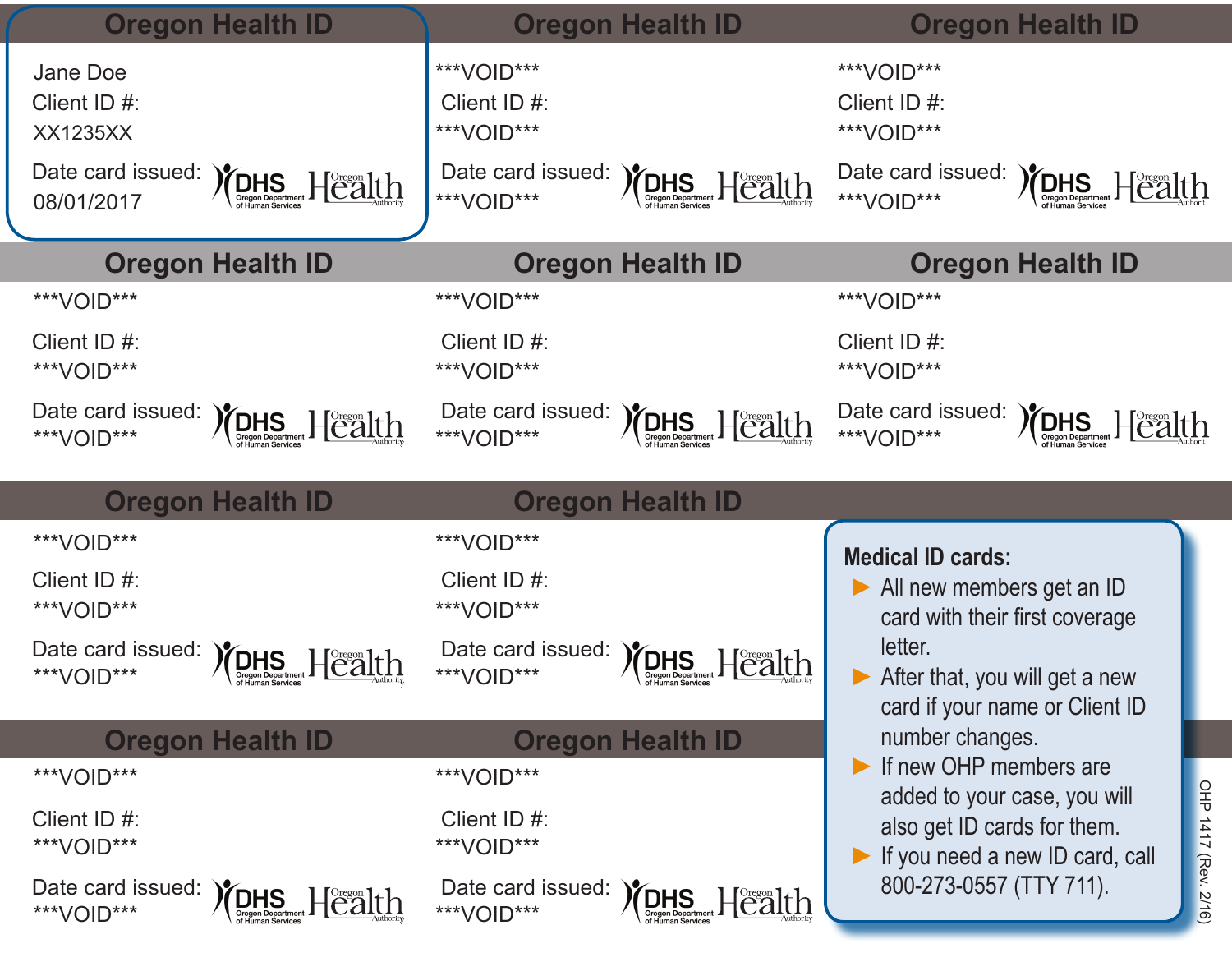|                                                     | <b>Oregon Health ID</b>                                                                                                                             |                                          | <b>Oregon Health ID</b>                                                | <b>Oregon Health ID</b>                                                                                                |
|-----------------------------------------------------|-----------------------------------------------------------------------------------------------------------------------------------------------------|------------------------------------------|------------------------------------------------------------------------|------------------------------------------------------------------------------------------------------------------------|
| Jane Doe<br>Client ID #:<br><b>XX1235XX</b>         |                                                                                                                                                     | ***VOID***<br>Client ID #:<br>***VOID*** |                                                                        | ***VOID***<br>Client ID #:<br>***VOID***                                                                               |
| Date card issued:<br>08/01/2017                     | $\textbf{MSE}\left[\underset{\text{Organ Department}}{\textbf{DHS}}\right] \times \textbf{E}\left[\underset{\text{Autiority}}{\textbf{DHS}}\right]$ | Date card issued:<br>***VOID***          | $\sum_{\text{Organ Department}}$<br>$H^{\text{Oregon}}$ lth            | Date card issued:<br>$\sum_{\text{Organ Department}}$<br>Health<br>***VOID***                                          |
|                                                     | <b>Oregon Health ID</b>                                                                                                                             |                                          | <b>Oregon Health ID</b>                                                | <b>Oregon Health ID</b>                                                                                                |
| ***VOID***                                          |                                                                                                                                                     | ***VOID***                               |                                                                        | ***VOID***                                                                                                             |
| Client ID #:<br>***VOID***                          |                                                                                                                                                     | Client ID#:<br>***VOID***                |                                                                        | Client ID #:<br>***VOID***                                                                                             |
| ***VOID***                                          | Date card issued: <b>)</b> DHS Heatment Health                                                                                                      | Date card issued:<br>***VOID***          | <b>YOHS</b><br>Health<br><b>Oregon Department</b>                      | Date card issued:<br><b>YDHS</b><br>$H$ $e$ alth<br>***VOID***<br><b>Oregon Department</b>                             |
|                                                     |                                                                                                                                                     |                                          |                                                                        |                                                                                                                        |
|                                                     | <b>Oregon Health ID</b>                                                                                                                             |                                          | <b>Oregon Health ID</b>                                                |                                                                                                                        |
| ***VOID***                                          |                                                                                                                                                     | ***VOID***                               |                                                                        |                                                                                                                        |
| Client ID #:<br>***VOID***                          |                                                                                                                                                     | Client ID#:<br>***VOID***                |                                                                        | <b>Medical ID cards:</b><br>All new members get an ID<br>card with their first coverage                                |
| Date card issued: YOHS<br>***VOID***                | Health<br><b>Oregon Department</b>                                                                                                                  | Date card issued: YOHS<br>***VOID***     | $ f$ $e$ $a$ <sub><math>t</math></sub> $h$<br><b>Oregon Department</b> | letter.<br>After that, you will get a new<br>card if your name or Client ID                                            |
|                                                     | <b>Oregon Health ID</b>                                                                                                                             |                                          | <b>Oregon Health ID</b>                                                | number changes.                                                                                                        |
| ***VOID***                                          |                                                                                                                                                     | ***VOID***                               |                                                                        | If new OHP members are                                                                                                 |
| Client ID#:<br>***VOID***<br>Date card issued: YOHS |                                                                                                                                                     | Client ID #:<br>***VOID***               |                                                                        | OHP 1417 (Rev. 2/16)<br>added to your case, you will<br>also get ID cards for them.<br>If you need a new ID card, call |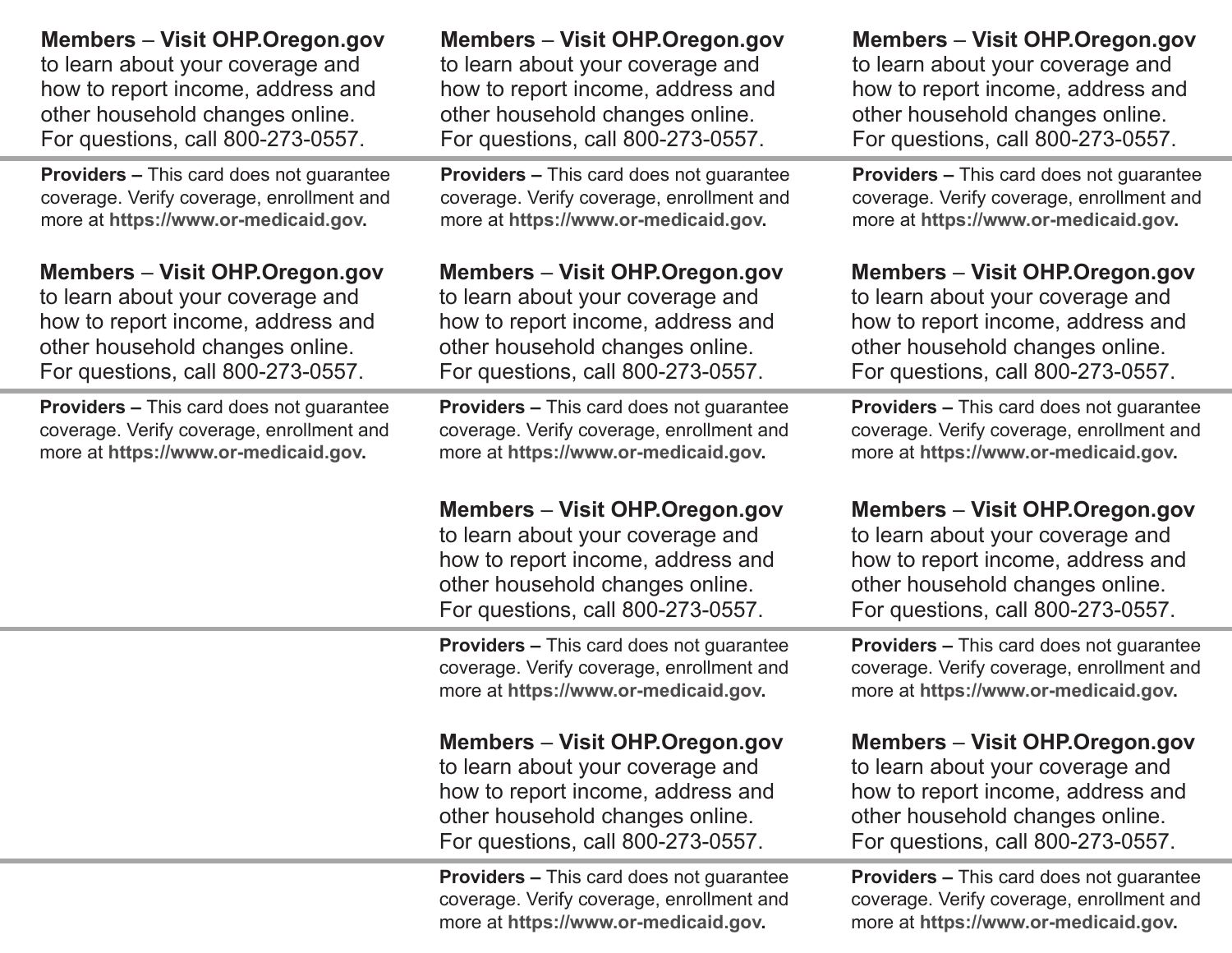| <b>Members – Visit OHP.Oregon.gov</b>           | <b>Members - Visit OHP.Oregon.gov</b>                                                                                                                                                  | <b>Members - Visit OHP.Oregon.gov</b>                                                                                                                                                  |
|-------------------------------------------------|----------------------------------------------------------------------------------------------------------------------------------------------------------------------------------------|----------------------------------------------------------------------------------------------------------------------------------------------------------------------------------------|
| to learn about your coverage and                | to learn about your coverage and                                                                                                                                                       | to learn about your coverage and                                                                                                                                                       |
| how to report income, address and               | how to report income, address and                                                                                                                                                      | how to report income, address and                                                                                                                                                      |
| other household changes online.                 | other household changes online.                                                                                                                                                        | other household changes online.                                                                                                                                                        |
| For questions, call 800-273-0557.               | For questions, call 800-273-0557.                                                                                                                                                      | For questions, call 800-273-0557.                                                                                                                                                      |
| <b>Providers - This card does not guarantee</b> | <b>Providers - This card does not guarantee</b>                                                                                                                                        | <b>Providers - This card does not guarantee</b>                                                                                                                                        |
| coverage. Verify coverage, enrollment and       | coverage. Verify coverage, enrollment and                                                                                                                                              | coverage. Verify coverage, enrollment and                                                                                                                                              |
| more at https://www.or-medicaid.gov.            | more at https://www.or-medicaid.gov.                                                                                                                                                   | more at https://www.or-medicaid.gov.                                                                                                                                                   |
| <b>Members – Visit OHP.Oregon.gov</b>           | <b>Members - Visit OHP.Oregon.gov</b>                                                                                                                                                  | <b>Members - Visit OHP.Oregon.gov</b>                                                                                                                                                  |
| to learn about your coverage and                | to learn about your coverage and                                                                                                                                                       | to learn about your coverage and                                                                                                                                                       |
| how to report income, address and               | how to report income, address and                                                                                                                                                      | how to report income, address and                                                                                                                                                      |
| other household changes online.                 | other household changes online.                                                                                                                                                        | other household changes online.                                                                                                                                                        |
| For questions, call 800-273-0557.               | For questions, call 800-273-0557.                                                                                                                                                      | For questions, call 800-273-0557.                                                                                                                                                      |
| <b>Providers - This card does not guarantee</b> | <b>Providers – This card does not guarantee</b>                                                                                                                                        | <b>Providers - This card does not guarantee</b>                                                                                                                                        |
| coverage. Verify coverage, enrollment and       | coverage. Verify coverage, enrollment and                                                                                                                                              | coverage. Verify coverage, enrollment and                                                                                                                                              |
| more at https://www.or-medicaid.gov.            | more at https://www.or-medicaid.gov.                                                                                                                                                   | more at https://www.or-medicaid.gov.                                                                                                                                                   |
|                                                 |                                                                                                                                                                                        |                                                                                                                                                                                        |
|                                                 | <b>Members - Visit OHP.Oregon.gov</b><br>to learn about your coverage and<br>how to report income, address and<br>other household changes online.<br>For questions, call 800-273-0557. | <b>Members - Visit OHP.Oregon.gov</b><br>to learn about your coverage and<br>how to report income, address and<br>other household changes online.<br>For questions, call 800-273-0557. |
|                                                 | <b>Providers - This card does not guarantee</b><br>coverage. Verify coverage, enrollment and<br>more at https://www.or-medicaid.gov.                                                   | <b>Providers - This card does not guarantee</b><br>coverage. Verify coverage, enrollment and<br>more at https://www.or-medicaid.gov.                                                   |
|                                                 | <b>Members - Visit OHP.Oregon.gov</b><br>to learn about your coverage and<br>how to report income, address and<br>other household changes online.<br>For questions, call 800-273-0557. | <b>Members - Visit OHP.Oregon.gov</b><br>to learn about your coverage and<br>how to report income, address and<br>other household changes online.<br>For questions, call 800-273-0557. |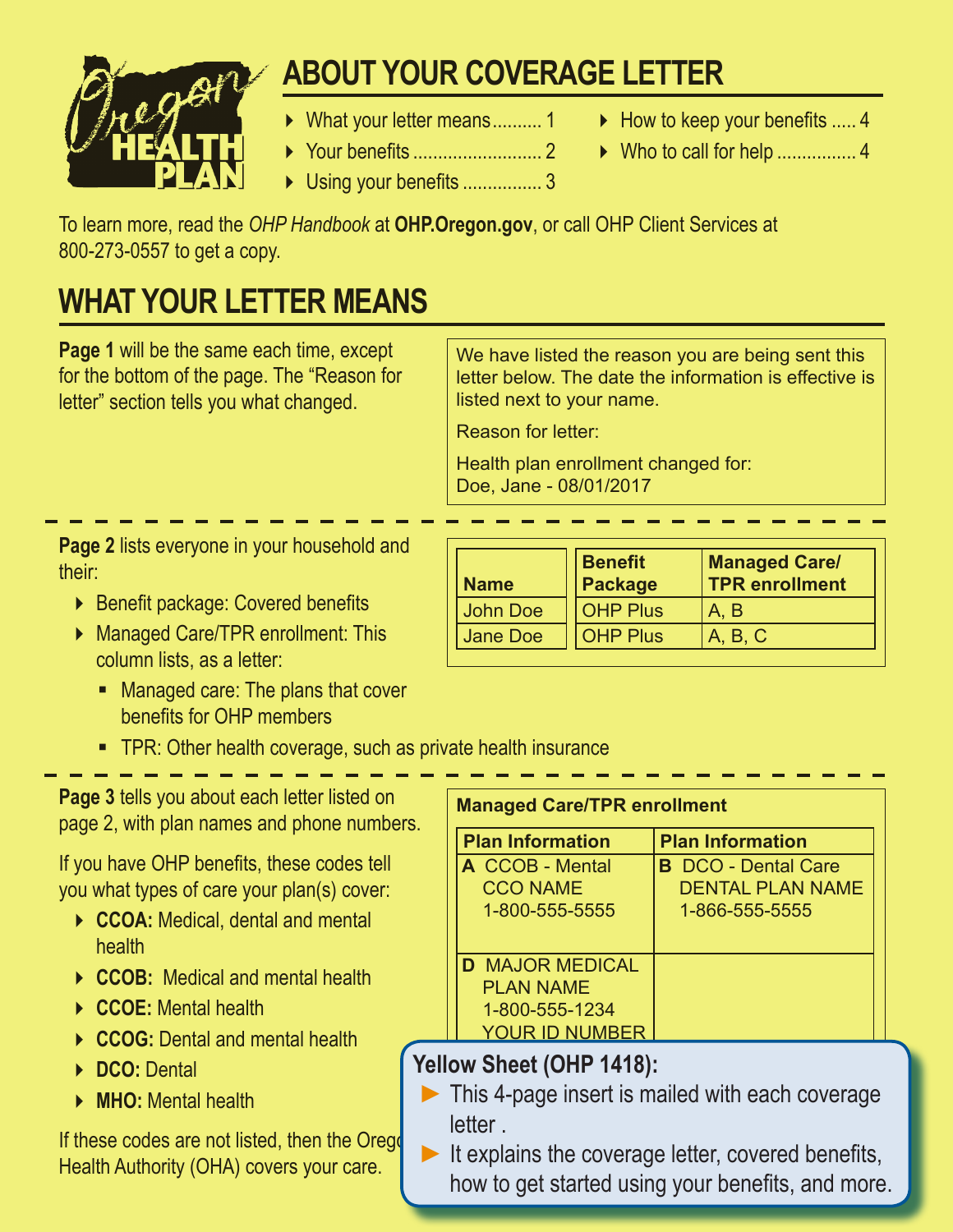

# **HOW TO KEEP YOUR BENEFITS ABOUT YOUR COVERAGE LETTER**

- ▶ What your letter means .......... 1
- Your benefits .......................... 2
	- ▶ Using your benefits ................. 3
- $\blacktriangleright$  How to keep your benefits ..... 4
- ▶ Who to call for help .................. 4

To learn more, read the *OHP Handbook* at **OHP.Oregon.gov**, or call OHP Client Services at 800-273-0557 to get a copy.

## **WHAT YOUR LETTER MEANS**

**Page 1** will be the same each time, except for the bottom of the page. The "Reason for letter" section tells you what changed.

We have listed the reason you are being sent this letter below. The date the information is effective is listed next to your name.

Reason for letter:

Health plan enrollment changed for: Doe, Jane - 08/01/2017

**Page 2** lists everyone in your household and their:

- ▶ Benefit package: Covered benefits
- Managed Care/TPR enrollment: This column lists, as a letter:
	- **Managed care: The plans that cover** benefits for OHP members
	- **TPR: Other health coverage, such as private health insurance**

**Page 3** tells you about each letter listed on page 2, with plan names and phone numbers.

If you have OHP benefits, these codes tell you what types of care your plan(s) cover:

- ▶ CCOA: Medical, dental and mental health
- **CCOB:** Medical and mental health
- **CCOE:** Mental health
- **CCOG:** Dental and mental health
- **DCO:** Dental
- **MHO:** Mental health

If these codes are not listed, then the Orego Health Authority (OHA) covers your care.

| <b>Name</b> | <b>Benefit</b><br>Package | <b>Managed Care/</b><br><b>TPR</b> enrollment |
|-------------|---------------------------|-----------------------------------------------|
| John Doe    | <b>OHP Plus</b>           | A. B                                          |
| Jane Doe    | <b>OHP Plus</b>           | A, B, C                                       |

| <b>Managed Care/TPR enrollment</b> |  |
|------------------------------------|--|
|------------------------------------|--|

| <b>Plan Information</b> | <b>Plan Information</b>    |
|-------------------------|----------------------------|
| <b>A</b> CCOB - Mental  | <b>B</b> DCO - Dental Care |
| <b>CCO NAME</b>         | <b>DENTAL PLAN NAME</b>    |
| 1-800-555-5555          | 1-866-555-5555             |
|                         |                            |
| <b>D</b> MAJOR MEDICAL  |                            |
| <b>PLAN NAME</b>        |                            |
| 1-800-555-1234          |                            |
| <b>YOUR ID NUMBER</b>   |                            |

### **Yellow Sheet (OHP 1418):**

- **►**This 4-page insert is mailed with each coverage letter
- **►**It explains the coverage letter, covered benefits, how to get started using your benefits, and more.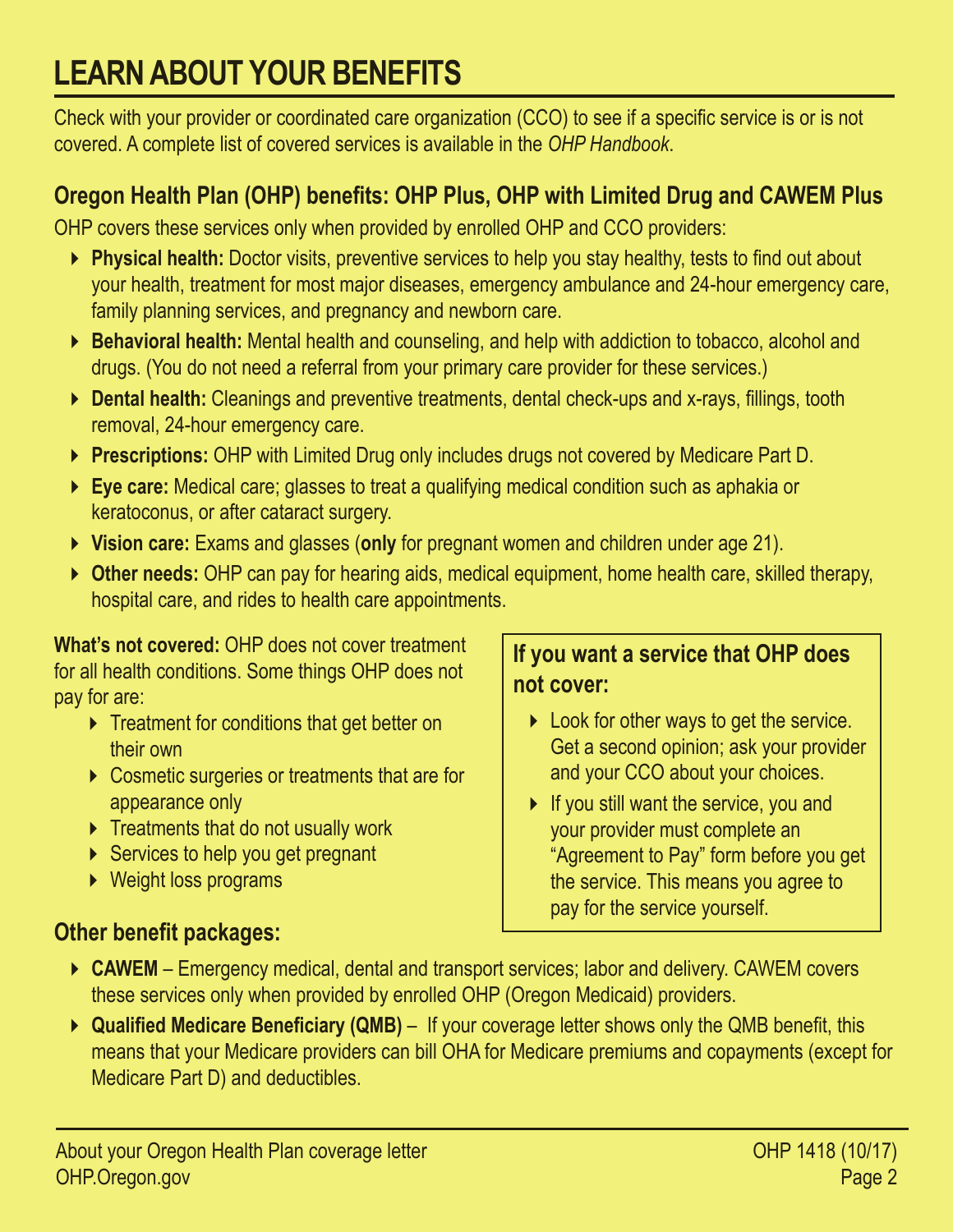# **LEARN ABOUT YOUR BENEFITS**

Check with your provider or coordinated care organization (CCO) to see if a specific service is or is not covered. A complete list of covered services is available in the *OHP Handbook*.

#### **Oregon Health Plan (OHP) benefits: OHP Plus, OHP with Limited Drug and CAWEM Plus**

OHP covers these services only when provided by enrolled OHP and CCO providers:

- **Physical health:** Doctor visits, preventive services to help you stay healthy, tests to find out about your health, treatment for most major diseases, emergency ambulance and 24-hour emergency care, family planning services, and pregnancy and newborn care.
- **Behavioral health:** Mental health and counseling, and help with addiction to tobacco, alcohol and drugs. (You do not need a referral from your primary care provider for these services.)
- **Dental health:** Cleanings and preventive treatments, dental check-ups and x-rays, fillings, tooth removal, 24-hour emergency care.
- **Prescriptions:** OHP with Limited Drug only includes drugs not covered by Medicare Part D.
- **Eye care:** Medical care; glasses to treat a qualifying medical condition such as aphakia or keratoconus, or after cataract surgery.
- **Vision care:** Exams and glasses (**only** for pregnant women and children under age 21).
- **Other needs:** OHP can pay for hearing aids, medical equipment, home health care, skilled therapy, hospital care, and rides to health care appointments.

**What's not covered:** OHP does not cover treatment for all health conditions. Some things OHP does not pay for are:

- **F** Treatment for conditions that get better on their own
- ▶ Cosmetic surgeries or treatments that are for appearance only
- $\triangleright$  Treatments that do not usually work
- $\triangleright$  Services to help you get pregnant
- ▶ Weight loss programs

#### **Other benefit packages:**

#### **If you want a service that OHP does not cover:**

- **Look for other ways to get the service.** Get a second opinion; ask your provider and your CCO about your choices.
- $\triangleright$  If you still want the service, you and your provider must complete an "Agreement to Pay" form before you get the service. This means you agree to pay for the service yourself.
- ▶ CAWEM Emergency medical, dental and transport services; labor and delivery. CAWEM covers these services only when provided by enrolled OHP (Oregon Medicaid) providers.
- ▶ Qualified Medicare Beneficiary (QMB) If your coverage letter shows only the QMB benefit, this means that your Medicare providers can bill OHA for Medicare premiums and copayments (except for Medicare Part D) and deductibles.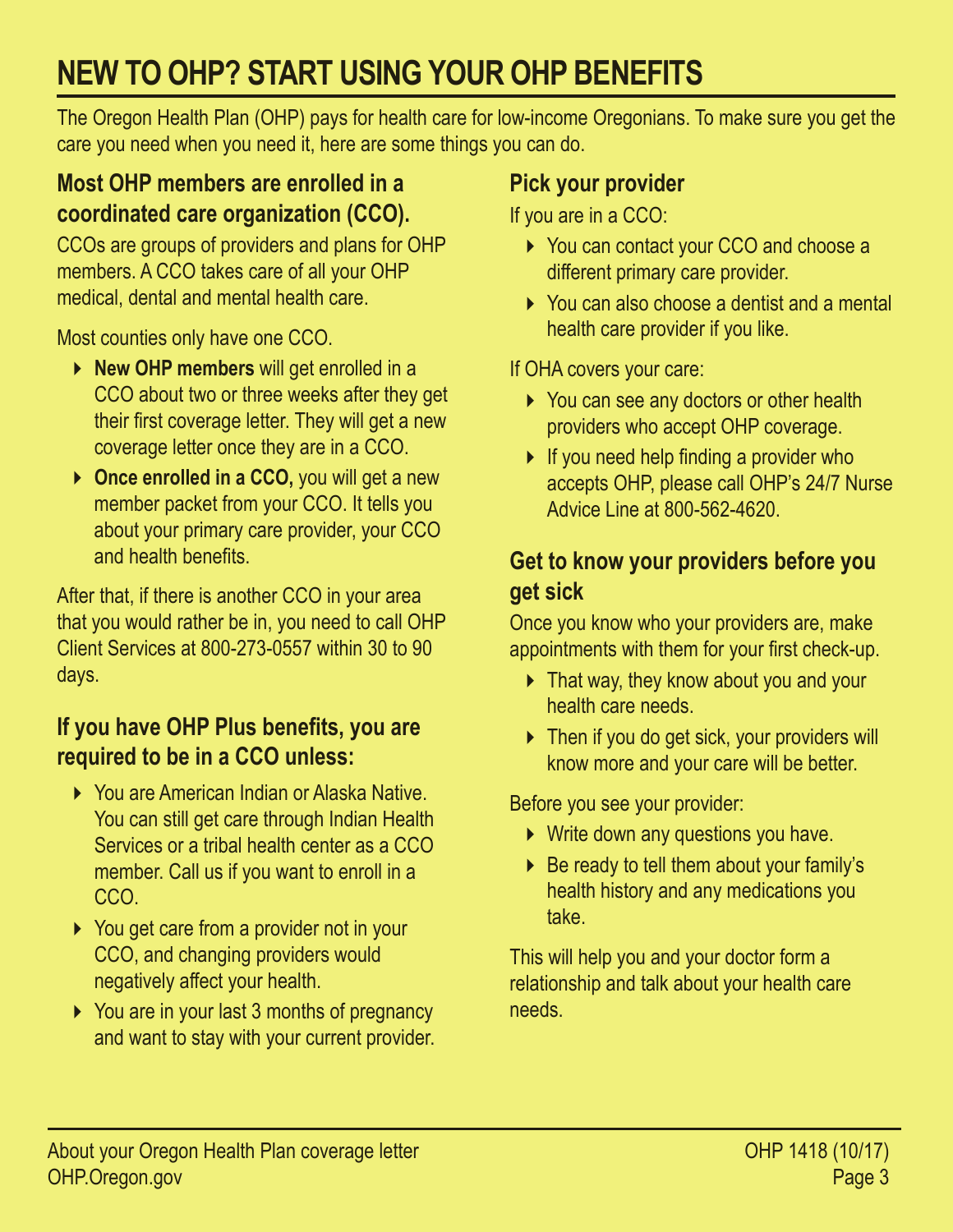# **NEW TO OHP? START USING YOUR OHP BENEFITS**

The Oregon Health Plan (OHP) pays for health care for low-income Oregonians. To make sure you get the care you need when you need it, here are some things you can do.

#### **Most OHP members are enrolled in a coordinated care organization (CCO).**

CCOs are groups of providers and plans for OHP members. A CCO takes care of all your OHP medical, dental and mental health care.

Most counties only have one CCO.

- **New OHP members** will get enrolled in a CCO about two or three weeks after they get their first coverage letter. They will get a new coverage letter once they are in a CCO.
- ▶ Once enrolled in a CCO, you will get a new member packet from your CCO. It tells you about your primary care provider, your CCO and health benefits.

After that, if there is another CCO in your area that you would rather be in, you need to call OHP Client Services at 800-273-0557 within 30 to 90 days.

### **If you have OHP Plus benefits, you are required to be in a CCO unless:**

- ▶ You are American Indian or Alaska Native. You can still get care through Indian Health Services or a tribal health center as a CCO member. Call us if you want to enroll in a CCO.
- ▶ You get care from a provider not in your CCO, and changing providers would negatively affect your health.
- ▶ You are in your last 3 months of pregnancy and want to stay with your current provider.

### **Pick your provider**

If you are in a CCO:

- ▶ You can contact your CCO and choose a different primary care provider.
- ▶ You can also choose a dentist and a mental health care provider if you like.

If OHA covers your care:

- ▶ You can see any doctors or other health providers who accept OHP coverage.
- If you need help finding a provider who accepts OHP, please call OHP's 24/7 Nurse Advice Line at 800-562-4620.

### **Get to know your providers before you get sick**

Once you know who your providers are, make appointments with them for your first check-up.

- ▶ That way, they know about you and your health care needs.
- ▶ Then if you do get sick, your providers will know more and your care will be better.

Before you see your provider:

- ▶ Write down any questions you have.
- $\triangleright$  Be ready to tell them about your family's health history and any medications you take.

This will help you and your doctor form a relationship and talk about your health care needs.